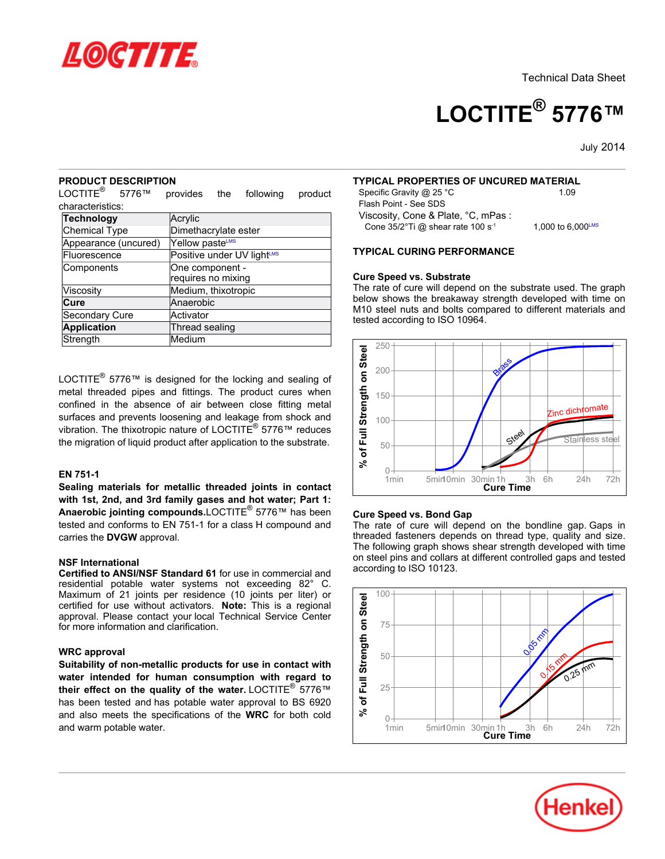

# **LOCTITE® 5776™**

July-2014

#### **PRODUCT DESCRIPTION**

LOCTITE $^{\circledR}$ 5776™ provides the following product characteristics:

| <b>Technology</b>    | Acrylic                    |  |  |  |
|----------------------|----------------------------|--|--|--|
| <b>Chemical Type</b> | Dimethacrylate ester       |  |  |  |
| Appearance (uncured) | Yellow pasteLMS            |  |  |  |
| Fluorescence         | Positive under UV lightLMS |  |  |  |
| Components           | One component -            |  |  |  |
|                      | requires no mixing         |  |  |  |
| Viscosity            | Medium, thixotropic        |  |  |  |
| Cure                 | Anaerobic                  |  |  |  |
| Secondary Cure       | Activator                  |  |  |  |
| <b>Application</b>   | <b>Thread sealing</b>      |  |  |  |
| Strength             | Medium                     |  |  |  |

LOCTITE $^{\circledR}$  5776™ is designed for the locking and sealing of metal threaded pipes and fittings. The product cures when confined in the absence of air between close fitting metal surfaces and prevents loosening and leakage from shock and vibration. The thixotropic nature of LOCTITE® 5776™ reduces the migration of liquid product after application to the substrate.

#### **EN 751-1**

**Sealing materials for metallic threaded joints in contact with 1st, 2nd, and 3rd family gases and hot water; Part 1: Anaerobic jointing compounds.**LOCTITE® 5776™ has been tested and conforms to EN 751-1 for a class H compound and carries the **DVGW** approval.

#### **NSF International**

**Certified to ANSI/NSF Standard 61** for use in commercial and residential potable water systems not exceeding 82° C. Maximum of 21 joints per residence (10 joints per liter) or certified for use without activators. **Note:** This is a regional approval. Please contact your local Technical Service Center for more information and clarification.

#### **WRC approval**

**Suitability of non-metallic products for use in contact with water intended for human consumption with regard to their effect on the quality of the water.** LOCTITE® 5776™ has been tested and has potable water approval to BS 6920 and also meets the specifications of the **WRC** for both cold and warm potable water.

#### **TYPICAL PROPERTIES OF UNCURED MATERIAL**

Specific Gravity @ 25 °C 1.09 Flash Point - See SDS Viscosity, Cone & Plate, °C, mPas : Cone 35/2°Ti @ shear rate 100 s<sup>-1</sup>

1,000 to  $6,000^{\text{LMS}}$ 

**TYPICAL CURING PERFORMANCE**

#### **Cure Speed vs. Substrate**

The rate of cure will depend on the substrate used. The graph below shows the breakaway strength developed with time on M10 steel nuts and bolts compared to different materials and tested according to ISO 10964.



#### **Cure Speed vs. Bond Gap**

The rate of cure will depend on the bondline gap. Gaps in threaded fasteners depends on thread type, quality and size. The following graph shows shear strength developed with time on steel pins and collars at different controlled gaps and tested according to ISO 10123.



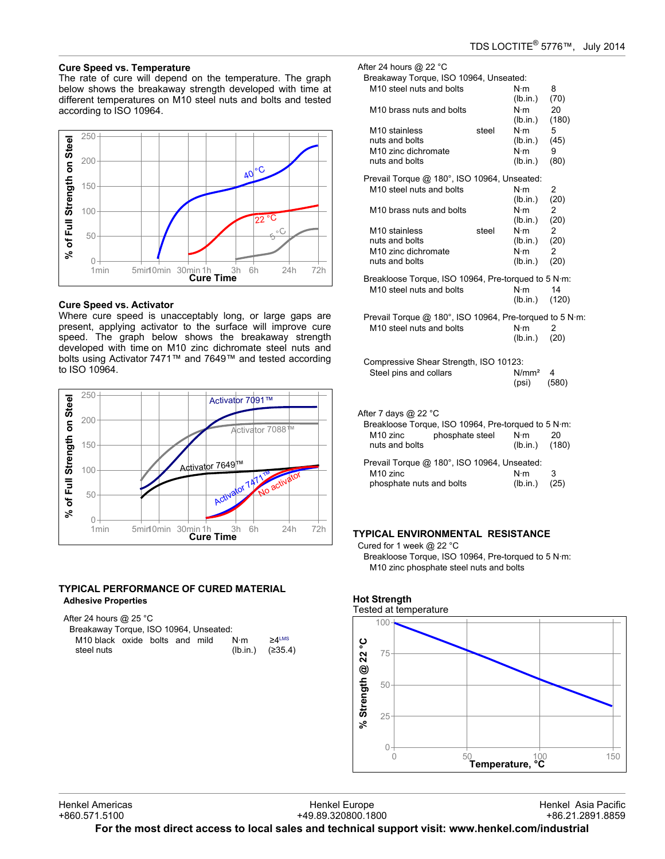#### **Cure Speed vs. Temperature**

The rate of cure will depend on the temperature. The graph below shows the breakaway strength developed with time at different temperatures on M10 steel nuts and bolts and tested according to ISO 10964.



#### **Cure Speed vs. Activator**

Where cure speed is unacceptably long, or large gaps are present, applying activator to the surface will improve cure speed. The graph below shows the breakaway strength developed with time on M10 zinc dichromate steel nuts and bolts using Activator 7471™ and 7649™ and tested according to ISO 10964.



#### **TYPICAL PERFORMANCE OF CURED MATERIAL Adhesive Properties**

After 24 hours @ 25 °C

| Breakaway Torque, ISO 10964, Unseated: |  |  |                  |          |
|----------------------------------------|--|--|------------------|----------|
| M10 black oxide bolts and mild         |  |  | $N \cdot m$      | $>4$ LMS |
| steel nuts                             |  |  | (lb.in.) (≥35.4) |          |

After 24 hours @ 22 °C Breakaway Torque, ISO 10964, Unseated:

| M10 steel nuts and bolts<br>M10 brass nuts and bolts                                                                                     |       | $N \cdot m$<br>(lb.in.)<br>$N \cdot m$                                        | 8<br>(70)<br>20                     |
|------------------------------------------------------------------------------------------------------------------------------------------|-------|-------------------------------------------------------------------------------|-------------------------------------|
| M10 stainless<br>nuts and bolts<br>M <sub>10</sub> zinc dichromate<br>nuts and bolts                                                     | steel | (lb.in.)<br>$N \cdot m$<br>(lb.in.)<br>$N \cdot m$<br>(lb.in.)                | (180)<br>5<br>(45)<br>9<br>(80)     |
| Prevail Torque @ 180°, ISO 10964, Unseated:<br>M10 steel nuts and bolts                                                                  |       | $N \cdot m$<br>(lb.in.)                                                       | 2<br>(20)                           |
| M10 brass nuts and bolts<br>M <sub>10</sub> stainless<br>nuts and bolts<br>M <sub>10</sub> zinc dichromate<br>nuts and bolts             | steel | $N \cdot m$<br>(lb.in.)<br>$N \cdot m$<br>(lb.in.)<br>$N \cdot m$<br>(lb.in.) | 2<br>(20)<br>2<br>(20)<br>2<br>(20) |
| Breakloose Torque, ISO 10964, Pre-torqued to 5 N·m:<br>M10 steel nuts and bolts                                                          |       | $N \cdot m$<br>(lb.in.)                                                       | 14<br>(120)                         |
| Prevail Torque @ 180°, ISO 10964, Pre-torqued to 5 N·m:<br>M10 steel nuts and bolts                                                      |       | $N \cdot m$<br>(lb.in.)                                                       | 2<br>(20)                           |
| Compressive Shear Strength, ISO 10123:<br>Steel pins and collars                                                                         |       | N/mm <sup>2</sup><br>(psi)                                                    | 4<br>(580)                          |
| After 7 days @ 22 °C<br>Breakloose Torque, ISO 10964, Pre-torqued to 5 N·m:<br>M <sub>10</sub> zinc<br>phosphate steel<br>nuts and bolts |       | $N \cdot m$<br>(lb.in.)                                                       | 20<br>(180)                         |
| Prevail Torque @ 180°, ISO 10964, Unseated:<br>M <sub>10</sub> zinc<br>phosphate nuts and bolts                                          |       | $N \cdot m$<br>(lb.in.)                                                       | 3<br>(25)                           |

# **TYPICAL ENVIRONMENTAL RESISTANCE**

Cured for 1 week @ 22 °C Breakloose Torque, ISO 10964, Pre-torqued to 5 N·m: M10 zinc phosphate steel nuts and bolts



# **Hot Strength**

Henkel Europe +49.89.320800.1800

**For the most direct access to local sales and technical support visit: www.henkel.com/industrial**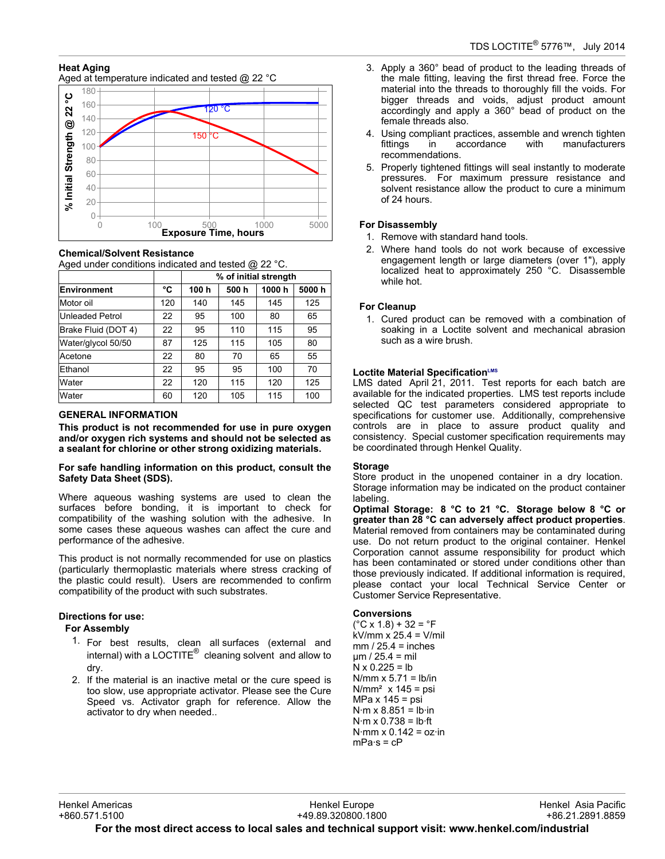# **Heat Aging**

Aged at temperature indicated and tested @ 22 °C



#### **Chemical/Solvent Resistance**

Aged under conditions indicated and tested @ 22 °C.

|                        |     | % of initial strength |      |       |       |  |
|------------------------|-----|-----------------------|------|-------|-------|--|
| <b>Environment</b>     | °C  | 100 h                 | 500h | 1000h | 5000h |  |
| Motor oil              | 120 | 140                   | 145  | 145   | 125   |  |
| <b>Unleaded Petrol</b> | 22  | 95                    | 100  | 80    | 65    |  |
| Brake Fluid (DOT 4)    | 22  | 95                    | 110  | 115   | 95    |  |
| Water/glycol 50/50     | 87  | 125                   | 115  | 105   | 80    |  |
| Acetone                | 22  | 80                    | 70   | 65    | 55    |  |
| Ethanol                | 22  | 95                    | 95   | 100   | 70    |  |
| Water                  | 22  | 120                   | 115  | 120   | 125   |  |
| Water                  | 60  | 120                   | 105  | 115   | 100   |  |

# **GENERAL INFORMATION**

**This product is not recommended for use in pure oxygen and/or oxygen rich systems and should not be selected as a sealant for chlorine or other strong oxidizing materials.**

#### **For safe handling information on this product, consult the Safety Data Sheet (SDS).**

Where aqueous washing systems are used to clean the surfaces before bonding, it is important to check for compatibility of the washing solution with the adhesive. In some cases these aqueous washes can affect the cure and performance of the adhesive.

This product is not normally recommended for use on plastics (particularly thermoplastic materials where stress cracking of the plastic could result). Users are recommended to confirm compatibility of the product with such substrates.

# **Directions for use:**

# **For Assembly**

- 1. For best results, clean all surfaces (external and internal) with a LOCTITE $^{\circledR}$  cleaning solvent and allow to dry.
- 2. If the material is an inactive metal or the cure speed is too slow, use appropriate activator. Please see the Cure Speed vs. Activator graph for reference. Allow the activator to dry when needed..
- 3. Apply a 360° bead of product to the leading threads of the male fitting, leaving the first thread free. Force the material into the threads to thoroughly fill the voids. For bigger threads and voids, adjust product amount accordingly and apply a 360° bead of product on the female threads also.
- 4. Using compliant practices, assemble and wrench tighten fittings in accordance with manufacturers recommendations.
- 5. Properly tightened fittings will seal instantly to moderate pressures. For maximum pressure resistance and solvent resistance allow the product to cure a minimum of 24 hours.

# **For Disassembly**

- 1. Remove with standard hand tools.
- 2. Where hand tools do not work because of excessive engagement length or large diameters (over 1"), apply localized heat to approximately 250 °C. Disassemble while hot.

# **For Cleanup**

1. Cured product can be removed with a combination of soaking in a Loctite solvent and mechanical abrasion such as a wire brush.

# **Loctite Material SpecificationLMS**

LMS dated April 21, 2011. Test reports for each batch are available for the indicated properties. LMS test reports include selected QC test parameters considered appropriate to specifications for customer use. Additionally, comprehensive controls are in place to assure product quality and consistency. Special customer specification requirements may be coordinated through Henkel Quality.

# **Storage**

Store product in the unopened container in a dry location. Storage information may be indicated on the product container labeling.

**Optimal Storage: 8 °C to 21 °C. Storage below 8 °C or greater than 28 °C can adversely affect product properties**. Material removed from containers may be contaminated during use. Do not return product to the original container. Henkel Corporation cannot assume responsibility for product which has been contaminated or stored under conditions other than those previously indicated. If additional information is required, please contact your local Technical Service Center or Customer Service Representative.

# **Conversions**

 $(^{\circ}C$  x 1.8) + 32 =  $^{\circ}F$ kV/mm x 25.4 = V/mil  $mm / 25.4 = inches$ µm / 25.4 = mil  $N \times 0.225 = lb$  $N/mm \times 5.71 = lb/in$  $N/mm<sup>2</sup>$  x 145 = psi MPa x 145 = psi  $N·m \times 8.851 = lb·in$  $N·m \times 0.738 = lb·ft$  $N·mm \times 0.142 = oz·in$  $mPa·s = cP$